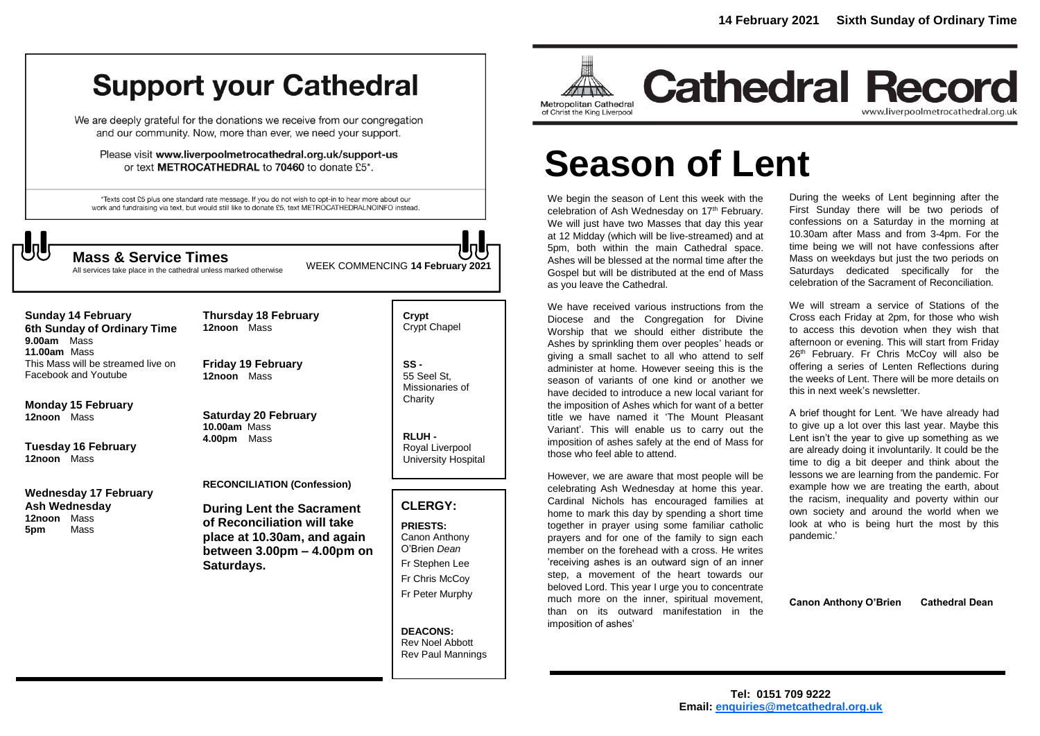## **Support your Cathedral**

We are deeply grateful for the donations we receive from our congregation and our community. Now, more than ever, we need your support.

Please visit www.liverpoolmetrocathedral.org.uk/support-us or text METROCATHEDRAL to 70460 to donate £5\*.

\*Texts cost £5 plus one standard rate message. If you do not wish to opt-in to hear more about our work and fundraising via text, but would still like to donate £5, text METROCATHEDRALNOINFO instead.



All services take place in the cathedral unless marked otherwise

WEEK COMMENCING **<sup>14</sup> February 2021 Mass & Service Times**

**Sunday 14 February 6th Sunday of Ordinary Time 9.00am** Mass **11.00am** Mass This Mass will be streamed live on Facebook and Youtube

**Monday 15 February 12noon** Mass

**Tuesday 16 February 12noon** Mass

**Wednesday 17 February Ash Wednesday 12noon** Mass **5pm** Mass

**Thursday 18 February 12noon** Mass

**Friday 19 February 12noon** Mass

**Saturday 20 February 10.00am** Mass **4.00pm** Mass

#### **RECONCILIATION (Confession)**

**During Lent the Sacrament of Reconciliation will take place at 10.30am, and again between 3.00pm – 4.00pm on Saturdays.**

**Crypt**  Crypt Chapel

**SS -** 55 Seel St, Missionaries of **Charity** 

**RLUH -** Royal Liverpool University Hospital

#### **CLERGY:**

**PRIESTS:** Canon Anthony O'Brien *Dean* Fr Stephen Lee Fr Chris McCoy Fr Peter Murphy

**DEACONS:** Rev Noel Abbott Rev Paul Mannings



## **Cathedral Record** www.liverpoolmetrocathedral.org.uk

# **Season of Lent**

We begin the season of Lent this week with the celebration of Ash Wednesday on 17<sup>th</sup> February. We will just have two Masses that day this year at 12 Midday (which will be live-streamed) and at 5pm, both within the main Cathedral space. Ashes will be blessed at the normal time after the Gospel but will be distributed at the end of Mass as you leave the Cathedral.

We have received various instructions from the Diocese and the Congregation for Divine Worship that we should either distribute the Ashes by sprinkling them over peoples' heads or giving a small sachet to all who attend to self administer at home. However seeing this is the season of variants of one kind or another we have decided to introduce a new local variant for the imposition of Ashes which for want of a better title we have named it 'The Mount Pleasant Variant'. This will enable us to carry out the imposition of ashes safely at the end of Mass for those who feel able to attend.

However, we are aware that most people will be celebrating Ash Wednesday at home this year. Cardinal Nichols has encouraged families at home to mark this day by spending a short time together in prayer using some familiar catholic prayers and for one of the family to sign each member on the forehead with a cross. He writes 'receiving ashes is an outward sign of an inner step, a movement of the heart towards our beloved Lord. This year I urge you to concentrate much more on the inner, spiritual movement. than on its outward manifestation in the imposition of ashes'

During the weeks of Lent beginning after the First Sunday there will be two periods of confessions on a Saturday in the morning at 10.30am after Mass and from 3-4pm. For the time being we will not have confessions after Mass on weekdays but just the two periods on Saturdays dedicated specifically for the celebration of the Sacrament of Reconciliation.

We will stream a service of Stations of the Cross each Friday at 2pm, for those who wish to access this devotion when they wish that afternoon or evening. This will start from Friday 26<sup>th</sup> February. Fr Chris McCoy will also be offering a series of Lenten Reflections during the weeks of Lent. There will be more details on this in next week's newsletter.

A brief thought for Lent. 'We have already had to give up a lot over this last year. Maybe this Lent isn't the year to give up something as we are already doing it involuntarily. It could be the time to dig a bit deeper and think about the lessons we are learning from the pandemic. For example how we are treating the earth, about the racism, inequality and poverty within our own society and around the world when we look at who is being hurt the most by this pandemic.'

**Canon Anthony O'Brien Cathedral Dean**